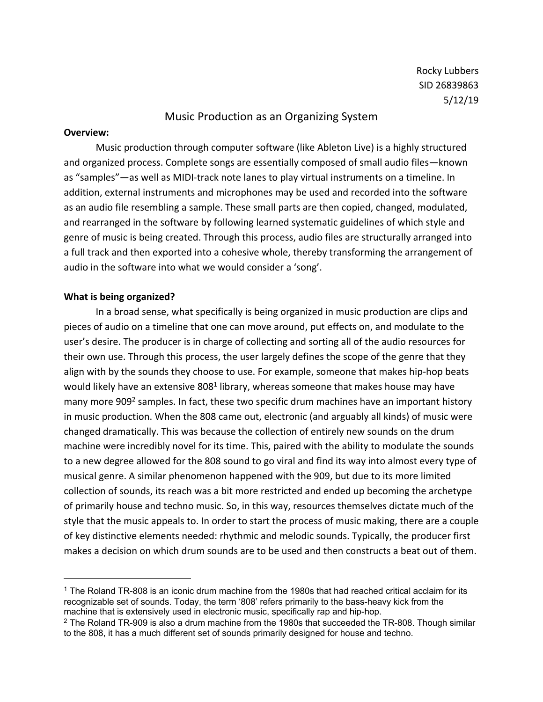Rocky Lubbers SID 26839863 5/12/19

### Music Production as an Organizing System

#### **Overview:**

Music production through computer software (like Ableton Live) is a highly structured and organized process. Complete songs are essentially composed of small audio files—known as "samples"—as well as MIDI-track note lanes to play virtual instruments on a timeline. In addition, external instruments and microphones may be used and recorded into the software as an audio file resembling a sample. These small parts are then copied, changed, modulated, and rearranged in the software by following learned systematic guidelines of which style and genre of music is being created. Through this process, audio files are structurally arranged into a full track and then exported into a cohesive whole, thereby transforming the arrangement of audio in the software into what we would consider a 'song'.

#### **What is being organized?**

In a broad sense, what specifically is being organized in music production are clips and pieces of audio on a timeline that one can move around, put effects on, and modulate to the user's desire. The producer is in charge of collecting and sorting all of the audio resources for their own use. Through this process, the user largely defines the scope of the genre that they align with by the sounds they choose to use. For example, someone that makes hip-hop beats would likely have an extensive 808<sup>1</sup> library, whereas someone that makes house may have many more 909<sup>2</sup> samples. In fact, these two specific drum machines have an important history in music production. When the 808 came out, electronic (and arguably all kinds) of music were changed dramatically. This was because the collection of entirely new sounds on the drum machine were incredibly novel for its time. This, paired with the ability to modulate the sounds to a new degree allowed for the 808 sound to go viral and find its way into almost every type of musical genre. A similar phenomenon happened with the 909, but due to its more limited collection of sounds, its reach was a bit more restricted and ended up becoming the archetype of primarily house and techno music. So, in this way, resources themselves dictate much of the style that the music appeals to. In order to start the process of music making, there are a couple of key distinctive elements needed: rhythmic and melodic sounds. Typically, the producer first makes a decision on which drum sounds are to be used and then constructs a beat out of them.

<sup>&</sup>lt;sup>1</sup> The Roland TR-808 is an iconic drum machine from the 1980s that had reached critical acclaim for its recognizable set of sounds. Today, the term '808' refers primarily to the bass-heavy kick from the machine that is extensively used in electronic music, specifically rap and hip-hop.

 $2$  The Roland TR-909 is also a drum machine from the 1980s that succeeded the TR-808. Though similar to the 808, it has a much different set of sounds primarily designed for house and techno.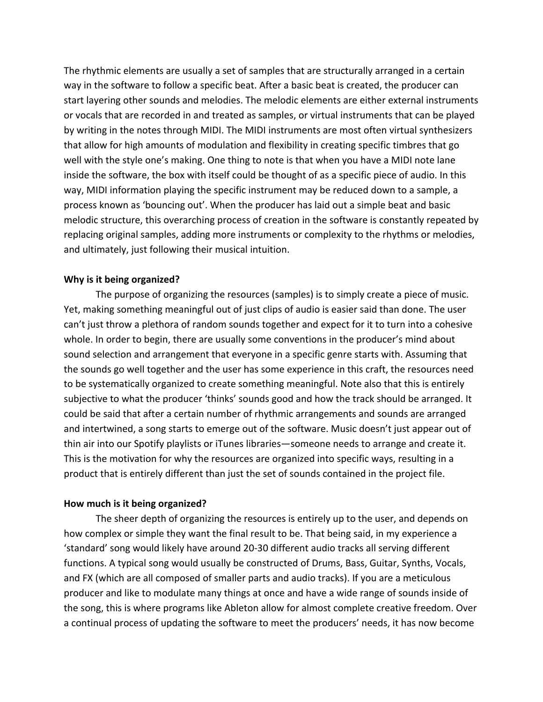The rhythmic elements are usually a set of samples that are structurally arranged in a certain way in the software to follow a specific beat. After a basic beat is created, the producer can start layering other sounds and melodies. The melodic elements are either external instruments or vocals that are recorded in and treated as samples, or virtual instruments that can be played by writing in the notes through MIDI. The MIDI instruments are most often virtual synthesizers that allow for high amounts of modulation and flexibility in creating specific timbres that go well with the style one's making. One thing to note is that when you have a MIDI note lane inside the software, the box with itself could be thought of as a specific piece of audio. In this way, MIDI information playing the specific instrument may be reduced down to a sample, a process known as 'bouncing out'. When the producer has laid out a simple beat and basic melodic structure, this overarching process of creation in the software is constantly repeated by replacing original samples, adding more instruments or complexity to the rhythms or melodies, and ultimately, just following their musical intuition.

# **Why is it being organized?**

The purpose of organizing the resources (samples) is to simply create a piece of music. Yet, making something meaningful out of just clips of audio is easier said than done. The user can't just throw a plethora of random sounds together and expect for it to turn into a cohesive whole. In order to begin, there are usually some conventions in the producer's mind about sound selection and arrangement that everyone in a specific genre starts with. Assuming that the sounds go well together and the user has some experience in this craft, the resources need to be systematically organized to create something meaningful. Note also that this is entirely subjective to what the producer 'thinks' sounds good and how the track should be arranged. It could be said that after a certain number of rhythmic arrangements and sounds are arranged and intertwined, a song starts to emerge out of the software. Music doesn't just appear out of thin air into our Spotify playlists or iTunes libraries—someone needs to arrange and create it. This is the motivation for why the resources are organized into specific ways, resulting in a product that is entirely different than just the set of sounds contained in the project file.

# **How much is it being organized?**

The sheer depth of organizing the resources is entirely up to the user, and depends on how complex or simple they want the final result to be. That being said, in my experience a 'standard' song would likely have around 20-30 different audio tracks all serving different functions. A typical song would usually be constructed of Drums, Bass, Guitar, Synths, Vocals, and FX (which are all composed of smaller parts and audio tracks). If you are a meticulous producer and like to modulate many things at once and have a wide range of sounds inside of the song, this is where programs like Ableton allow for almost complete creative freedom. Over a continual process of updating the software to meet the producers' needs, it has now become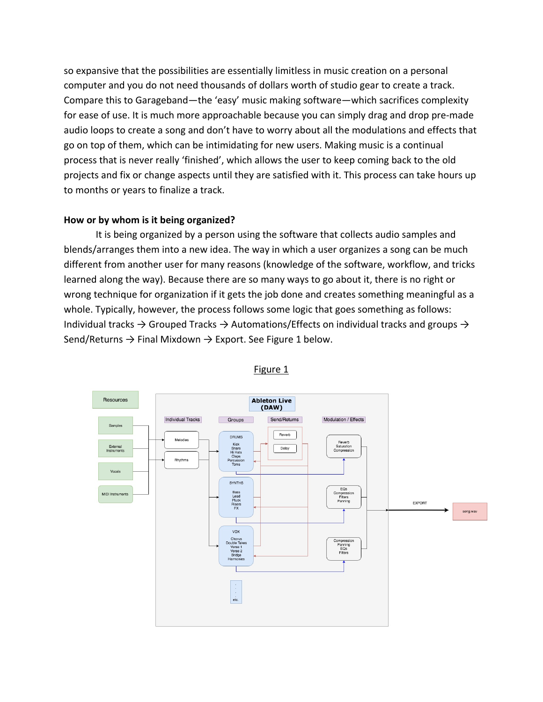so expansive that the possibilities are essentially limitless in music creation on a personal computer and you do not need thousands of dollars worth of studio gear to create a track. Compare this to Garageband—the 'easy' music making software—which sacrifices complexity for ease of use. It is much more approachable because you can simply drag and drop pre-made audio loops to create a song and don't have to worry about all the modulations and effects that go on top of them, which can be intimidating for new users. Making music is a continual process that is never really 'finished', which allows the user to keep coming back to the old projects and fix or change aspects until they are satisfied with it. This process can take hours up to months or years to finalize a track.

# **How or by whom is it being organized?**

It is being organized by a person using the software that collects audio samples and blends/arranges them into a new idea. The way in which a user organizes a song can be much different from another user for many reasons (knowledge of the software, workflow, and tricks learned along the way). Because there are so many ways to go about it, there is no right or wrong technique for organization if it gets the job done and creates something meaningful as a whole. Typically, however, the process follows some logic that goes something as follows: Individual tracks  $\rightarrow$  Grouped Tracks  $\rightarrow$  Automations/Effects on individual tracks and groups  $\rightarrow$ Send/Returns  $\rightarrow$  Final Mixdown  $\rightarrow$  Export. See Figure 1 below.



# Figure 1